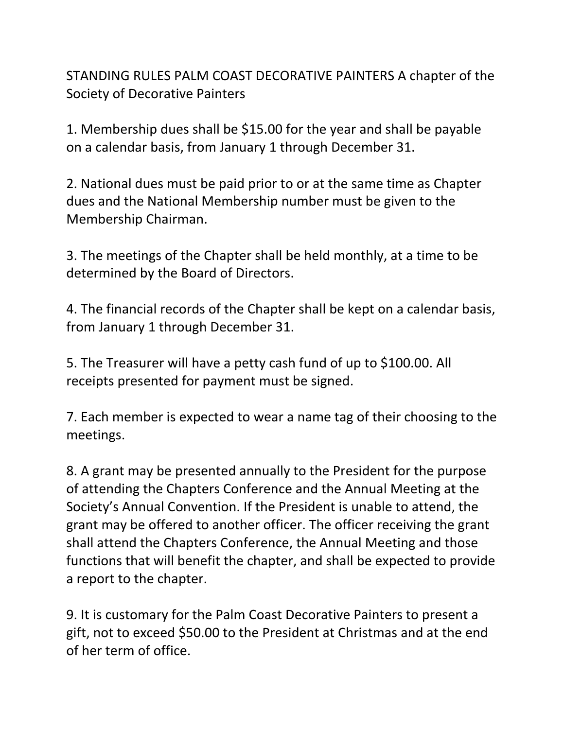STANDING RULES PALM COAST DECORATIVE PAINTERS A chapter of the Society of Decorative Painters

1. Membership dues shall be \$15.00 for the year and shall be payable on a calendar basis, from January 1 through December 31.

2. National dues must be paid prior to or at the same time as Chapter dues and the National Membership number must be given to the Membership Chairman.

3. The meetings of the Chapter shall be held monthly, at a time to be determined by the Board of Directors.

4. The financial records of the Chapter shall be kept on a calendar basis, from January 1 through December 31.

5. The Treasurer will have a petty cash fund of up to \$100.00. All receipts presented for payment must be signed.

7. Each member is expected to wear a name tag of their choosing to the meetings.

8. A grant may be presented annually to the President for the purpose of attending the Chapters Conference and the Annual Meeting at the Society's Annual Convention. If the President is unable to attend, the grant may be offered to another officer. The officer receiving the grant shall attend the Chapters Conference, the Annual Meeting and those functions that will benefit the chapter, and shall be expected to provide a report to the chapter.

9. It is customary for the Palm Coast Decorative Painters to present a gift, not to exceed \$50.00 to the President at Christmas and at the end of her term of office.